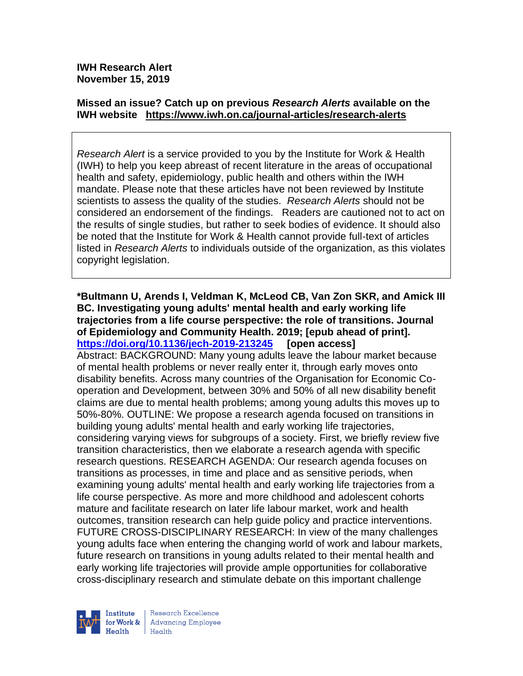**IWH Research Alert November 15, 2019**

## **Missed an issue? Catch up on previous** *Research Alerts* **available on the [IWH website](http://www.iwh.on.ca/research-alerts) <https://www.iwh.on.ca/journal-articles/research-alerts>**

*Research Alert* is a service provided to you by the Institute for Work & Health (IWH) to help you keep abreast of recent literature in the areas of occupational health and safety, epidemiology, public health and others within the IWH mandate. Please note that these articles have not been reviewed by Institute scientists to assess the quality of the studies. *Research Alerts* should not be considered an endorsement of the findings. Readers are cautioned not to act on the results of single studies, but rather to seek bodies of evidence. It should also be noted that the Institute for Work & Health cannot provide full-text of articles listed in *Research Alerts* to individuals outside of the organization, as this violates copyright legislation.

**\*Bultmann U, Arends I, Veldman K, McLeod CB, Van Zon SKR, and Amick III BC. Investigating young adults' mental health and early working life trajectories from a life course perspective: the role of transitions. Journal of Epidemiology and Community Health. 2019; [epub ahead of print]. <https://doi.org/10.1136/jech-2019-213245> [open access]** Abstract: BACKGROUND: Many young adults leave the labour market because of mental health problems or never really enter it, through early moves onto disability benefits. Across many countries of the Organisation for Economic Cooperation and Development, between 30% and 50% of all new disability benefit claims are due to mental health problems; among young adults this moves up to 50%-80%. OUTLINE: We propose a research agenda focused on transitions in building young adults' mental health and early working life trajectories, considering varying views for subgroups of a society. First, we briefly review five transition characteristics, then we elaborate a research agenda with specific research questions. RESEARCH AGENDA: Our research agenda focuses on transitions as processes, in time and place and as sensitive periods, when examining young adults' mental health and early working life trajectories from a life course perspective. As more and more childhood and adolescent cohorts mature and facilitate research on later life labour market, work and health outcomes, transition research can help guide policy and practice interventions. FUTURE CROSS-DISCIPLINARY RESEARCH: In view of the many challenges young adults face when entering the changing world of work and labour markets, future research on transitions in young adults related to their mental health and early working life trajectories will provide ample opportunities for collaborative cross-disciplinary research and stimulate debate on this important challenge



Research Excellence for Work & | Advancing Employee  $H_{\text{each}}$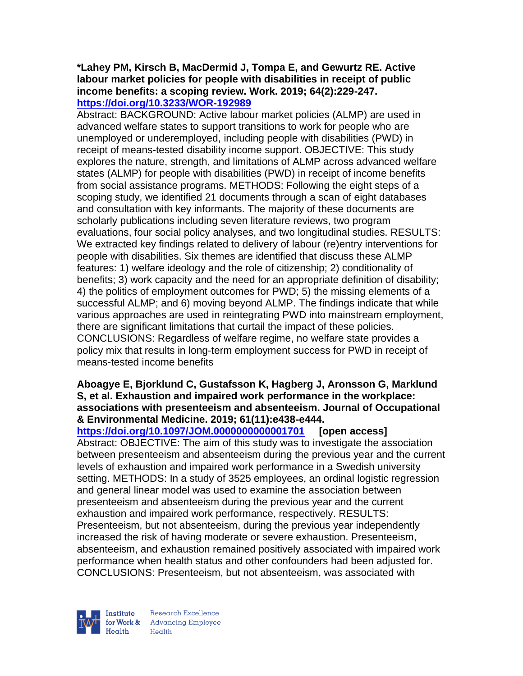#### **\*Lahey PM, Kirsch B, MacDermid J, Tompa E, and Gewurtz RE. Active labour market policies for people with disabilities in receipt of public income benefits: a scoping review. Work. 2019; 64(2):229-247. <https://doi.org/10.3233/WOR-192989>**

Abstract: BACKGROUND: Active labour market policies (ALMP) are used in advanced welfare states to support transitions to work for people who are unemployed or underemployed, including people with disabilities (PWD) in receipt of means-tested disability income support. OBJECTIVE: This study explores the nature, strength, and limitations of ALMP across advanced welfare states (ALMP) for people with disabilities (PWD) in receipt of income benefits from social assistance programs. METHODS: Following the eight steps of a scoping study, we identified 21 documents through a scan of eight databases and consultation with key informants. The majority of these documents are scholarly publications including seven literature reviews, two program evaluations, four social policy analyses, and two longitudinal studies. RESULTS: We extracted key findings related to delivery of labour (re)entry interventions for people with disabilities. Six themes are identified that discuss these ALMP features: 1) welfare ideology and the role of citizenship; 2) conditionality of benefits; 3) work capacity and the need for an appropriate definition of disability; 4) the politics of employment outcomes for PWD; 5) the missing elements of a successful ALMP; and 6) moving beyond ALMP. The findings indicate that while various approaches are used in reintegrating PWD into mainstream employment, there are significant limitations that curtail the impact of these policies. CONCLUSIONS: Regardless of welfare regime, no welfare state provides a policy mix that results in long-term employment success for PWD in receipt of means-tested income benefits

#### **Aboagye E, Bjorklund C, Gustafsson K, Hagberg J, Aronsson G, Marklund S, et al. Exhaustion and impaired work performance in the workplace: associations with presenteeism and absenteeism. Journal of Occupational & Environmental Medicine. 2019; 61(11):e438-e444.**

**<https://doi.org/10.1097/JOM.0000000000001701> [open access]**

Abstract: OBJECTIVE: The aim of this study was to investigate the association between presenteeism and absenteeism during the previous year and the current levels of exhaustion and impaired work performance in a Swedish university setting. METHODS: In a study of 3525 employees, an ordinal logistic regression and general linear model was used to examine the association between presenteeism and absenteeism during the previous year and the current exhaustion and impaired work performance, respectively. RESULTS: Presenteeism, but not absenteeism, during the previous year independently increased the risk of having moderate or severe exhaustion. Presenteeism, absenteeism, and exhaustion remained positively associated with impaired work performance when health status and other confounders had been adjusted for. CONCLUSIONS: Presenteeism, but not absenteeism, was associated with



Research Excellence for Work & | Advancing Employee Health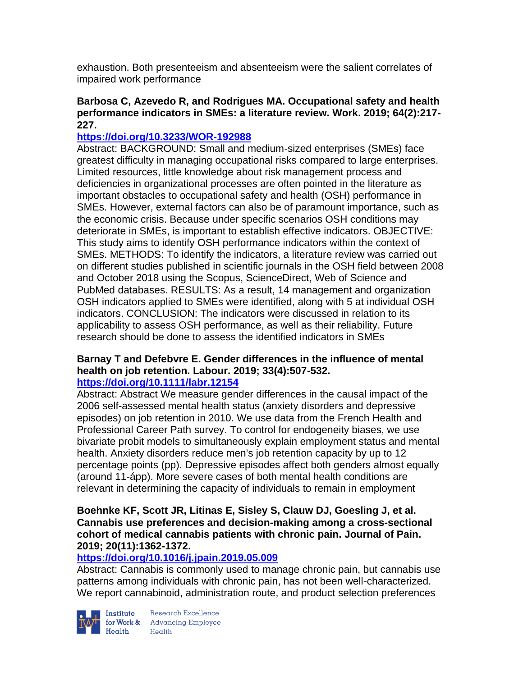exhaustion. Both presenteeism and absenteeism were the salient correlates of impaired work performance

## **Barbosa C, Azevedo R, and Rodrigues MA. Occupational safety and health performance indicators in SMEs: a literature review. Work. 2019; 64(2):217- 227.**

## **<https://doi.org/10.3233/WOR-192988>**

Abstract: BACKGROUND: Small and medium-sized enterprises (SMEs) face greatest difficulty in managing occupational risks compared to large enterprises. Limited resources, little knowledge about risk management process and deficiencies in organizational processes are often pointed in the literature as important obstacles to occupational safety and health (OSH) performance in SMEs. However, external factors can also be of paramount importance, such as the economic crisis. Because under specific scenarios OSH conditions may deteriorate in SMEs, is important to establish effective indicators. OBJECTIVE: This study aims to identify OSH performance indicators within the context of SMEs. METHODS: To identify the indicators, a literature review was carried out on different studies published in scientific journals in the OSH field between 2008 and October 2018 using the Scopus, ScienceDirect, Web of Science and PubMed databases. RESULTS: As a result, 14 management and organization OSH indicators applied to SMEs were identified, along with 5 at individual OSH indicators. CONCLUSION: The indicators were discussed in relation to its applicability to assess OSH performance, as well as their reliability. Future research should be done to assess the identified indicators in SMEs

#### **Barnay T and Defebvre E. Gender differences in the influence of mental health on job retention. Labour. 2019; 33(4):507-532. <https://doi.org/10.1111/labr.12154>**

Abstract: Abstract We measure gender differences in the causal impact of the 2006 self-assessed mental health status (anxiety disorders and depressive episodes) on job retention in 2010. We use data from the French Health and Professional Career Path survey. To control for endogeneity biases, we use bivariate probit models to simultaneously explain employment status and mental health. Anxiety disorders reduce men's job retention capacity by up to 12 percentage points (pp). Depressive episodes affect both genders almost equally (around 11-ápp). More severe cases of both mental health conditions are relevant in determining the capacity of individuals to remain in employment

#### **Boehnke KF, Scott JR, Litinas E, Sisley S, Clauw DJ, Goesling J, et al. Cannabis use preferences and decision-making among a cross-sectional cohort of medical cannabis patients with chronic pain. Journal of Pain. 2019; 20(11):1362-1372.**

# **<https://doi.org/10.1016/j.jpain.2019.05.009>**

Abstract: Cannabis is commonly used to manage chronic pain, but cannabis use patterns among individuals with chronic pain, has not been well-characterized. We report cannabinoid, administration route, and product selection preferences



Institute Research Excellence<br>for Work & Advancing Employee<br>Health Health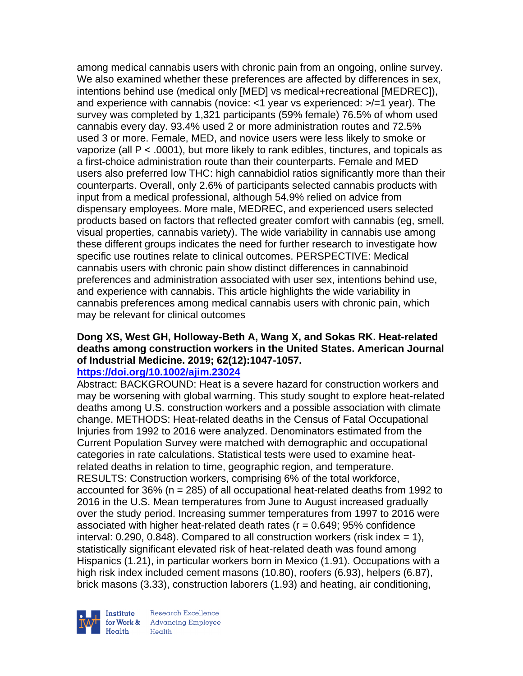among medical cannabis users with chronic pain from an ongoing, online survey. We also examined whether these preferences are affected by differences in sex, intentions behind use (medical only [MED] vs medical+recreational [MEDREC]), and experience with cannabis (novice: <1 year vs experienced: >/=1 year). The survey was completed by 1,321 participants (59% female) 76.5% of whom used cannabis every day. 93.4% used 2 or more administration routes and 72.5% used 3 or more. Female, MED, and novice users were less likely to smoke or vaporize (all  $P < .0001$ ), but more likely to rank edibles, tinctures, and topicals as a first-choice administration route than their counterparts. Female and MED users also preferred low THC: high cannabidiol ratios significantly more than their counterparts. Overall, only 2.6% of participants selected cannabis products with input from a medical professional, although 54.9% relied on advice from dispensary employees. More male, MEDREC, and experienced users selected products based on factors that reflected greater comfort with cannabis (eg, smell, visual properties, cannabis variety). The wide variability in cannabis use among these different groups indicates the need for further research to investigate how specific use routines relate to clinical outcomes. PERSPECTIVE: Medical cannabis users with chronic pain show distinct differences in cannabinoid preferences and administration associated with user sex, intentions behind use, and experience with cannabis. This article highlights the wide variability in cannabis preferences among medical cannabis users with chronic pain, which may be relevant for clinical outcomes

# **Dong XS, West GH, Holloway-Beth A, Wang X, and Sokas RK. Heat-related deaths among construction workers in the United States. American Journal of Industrial Medicine. 2019; 62(12):1047-1057.**

# **<https://doi.org/10.1002/ajim.23024>**

Abstract: BACKGROUND: Heat is a severe hazard for construction workers and may be worsening with global warming. This study sought to explore heat-related deaths among U.S. construction workers and a possible association with climate change. METHODS: Heat-related deaths in the Census of Fatal Occupational Injuries from 1992 to 2016 were analyzed. Denominators estimated from the Current Population Survey were matched with demographic and occupational categories in rate calculations. Statistical tests were used to examine heatrelated deaths in relation to time, geographic region, and temperature. RESULTS: Construction workers, comprising 6% of the total workforce, accounted for 36% (n = 285) of all occupational heat-related deaths from 1992 to 2016 in the U.S. Mean temperatures from June to August increased gradually over the study period. Increasing summer temperatures from 1997 to 2016 were associated with higher heat-related death rates ( $r = 0.649$ ; 95% confidence interval:  $0.290$ ,  $0.848$ ). Compared to all construction workers (risk index = 1), statistically significant elevated risk of heat-related death was found among Hispanics (1.21), in particular workers born in Mexico (1.91). Occupations with a high risk index included cement masons (10.80), roofers (6.93), helpers (6.87), brick masons (3.33), construction laborers (1.93) and heating, air conditioning,



Research Excellence for Work & | Advancing Employee  $H_{\text{each}}$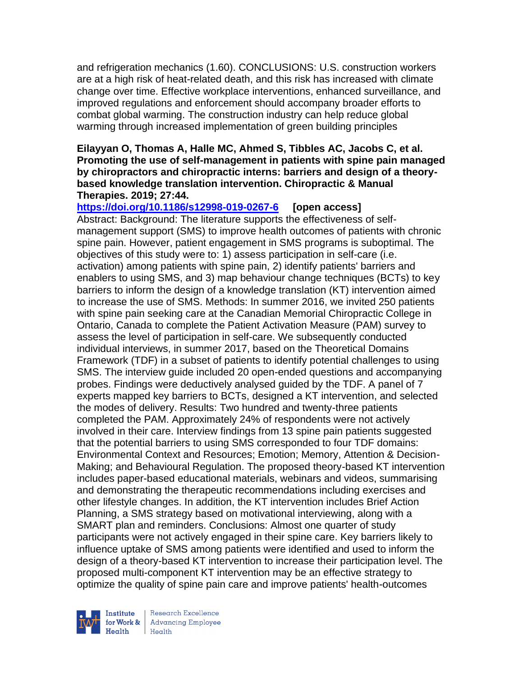and refrigeration mechanics (1.60). CONCLUSIONS: U.S. construction workers are at a high risk of heat-related death, and this risk has increased with climate change over time. Effective workplace interventions, enhanced surveillance, and improved regulations and enforcement should accompany broader efforts to combat global warming. The construction industry can help reduce global warming through increased implementation of green building principles

#### **Eilayyan O, Thomas A, Halle MC, Ahmed S, Tibbles AC, Jacobs C, et al. Promoting the use of self-management in patients with spine pain managed by chiropractors and chiropractic interns: barriers and design of a theorybased knowledge translation intervention. Chiropractic & Manual Therapies. 2019; 27:44.**

**<https://doi.org/10.1186/s12998-019-0267-6> [open access]** Abstract: Background: The literature supports the effectiveness of selfmanagement support (SMS) to improve health outcomes of patients with chronic spine pain. However, patient engagement in SMS programs is suboptimal. The objectives of this study were to: 1) assess participation in self-care (i.e. activation) among patients with spine pain, 2) identify patients' barriers and enablers to using SMS, and 3) map behaviour change techniques (BCTs) to key barriers to inform the design of a knowledge translation (KT) intervention aimed to increase the use of SMS. Methods: In summer 2016, we invited 250 patients with spine pain seeking care at the Canadian Memorial Chiropractic College in Ontario, Canada to complete the Patient Activation Measure (PAM) survey to assess the level of participation in self-care. We subsequently conducted individual interviews, in summer 2017, based on the Theoretical Domains Framework (TDF) in a subset of patients to identify potential challenges to using SMS. The interview guide included 20 open-ended questions and accompanying probes. Findings were deductively analysed guided by the TDF. A panel of 7 experts mapped key barriers to BCTs, designed a KT intervention, and selected the modes of delivery. Results: Two hundred and twenty-three patients completed the PAM. Approximately 24% of respondents were not actively involved in their care. Interview findings from 13 spine pain patients suggested that the potential barriers to using SMS corresponded to four TDF domains: Environmental Context and Resources; Emotion; Memory, Attention & Decision-Making; and Behavioural Regulation. The proposed theory-based KT intervention includes paper-based educational materials, webinars and videos, summarising and demonstrating the therapeutic recommendations including exercises and other lifestyle changes. In addition, the KT intervention includes Brief Action Planning, a SMS strategy based on motivational interviewing, along with a SMART plan and reminders. Conclusions: Almost one quarter of study participants were not actively engaged in their spine care. Key barriers likely to influence uptake of SMS among patients were identified and used to inform the design of a theory-based KT intervention to increase their participation level. The proposed multi-component KT intervention may be an effective strategy to optimize the quality of spine pain care and improve patients' health-outcomes



Research Excellence for Work & | Advancing Employee  $H_{\text{each}}$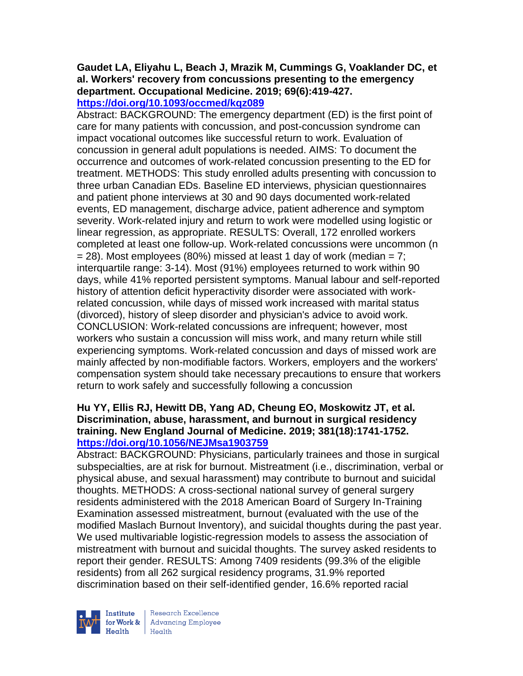#### **Gaudet LA, Eliyahu L, Beach J, Mrazik M, Cummings G, Voaklander DC, et al. Workers' recovery from concussions presenting to the emergency department. Occupational Medicine. 2019; 69(6):419-427. <https://doi.org/10.1093/occmed/kqz089>**

Abstract: BACKGROUND: The emergency department (ED) is the first point of care for many patients with concussion, and post-concussion syndrome can impact vocational outcomes like successful return to work. Evaluation of concussion in general adult populations is needed. AIMS: To document the occurrence and outcomes of work-related concussion presenting to the ED for treatment. METHODS: This study enrolled adults presenting with concussion to three urban Canadian EDs. Baseline ED interviews, physician questionnaires and patient phone interviews at 30 and 90 days documented work-related events, ED management, discharge advice, patient adherence and symptom severity. Work-related injury and return to work were modelled using logistic or linear regression, as appropriate. RESULTS: Overall, 172 enrolled workers completed at least one follow-up. Work-related concussions were uncommon (n  $= 28$ ). Most employees (80%) missed at least 1 day of work (median  $= 7$ ; interquartile range: 3-14). Most (91%) employees returned to work within 90 days, while 41% reported persistent symptoms. Manual labour and self-reported history of attention deficit hyperactivity disorder were associated with workrelated concussion, while days of missed work increased with marital status (divorced), history of sleep disorder and physician's advice to avoid work. CONCLUSION: Work-related concussions are infrequent; however, most workers who sustain a concussion will miss work, and many return while still experiencing symptoms. Work-related concussion and days of missed work are mainly affected by non-modifiable factors. Workers, employers and the workers' compensation system should take necessary precautions to ensure that workers return to work safely and successfully following a concussion

## **Hu YY, Ellis RJ, Hewitt DB, Yang AD, Cheung EO, Moskowitz JT, et al. Discrimination, abuse, harassment, and burnout in surgical residency training. New England Journal of Medicine. 2019; 381(18):1741-1752. <https://doi.org/10.1056/NEJMsa1903759>**

Abstract: BACKGROUND: Physicians, particularly trainees and those in surgical subspecialties, are at risk for burnout. Mistreatment (i.e., discrimination, verbal or physical abuse, and sexual harassment) may contribute to burnout and suicidal thoughts. METHODS: A cross-sectional national survey of general surgery residents administered with the 2018 American Board of Surgery In-Training Examination assessed mistreatment, burnout (evaluated with the use of the modified Maslach Burnout Inventory), and suicidal thoughts during the past year. We used multivariable logistic-regression models to assess the association of mistreatment with burnout and suicidal thoughts. The survey asked residents to report their gender. RESULTS: Among 7409 residents (99.3% of the eligible residents) from all 262 surgical residency programs, 31.9% reported discrimination based on their self-identified gender, 16.6% reported racial



Research Excellence for Work & | Advancing Employee Health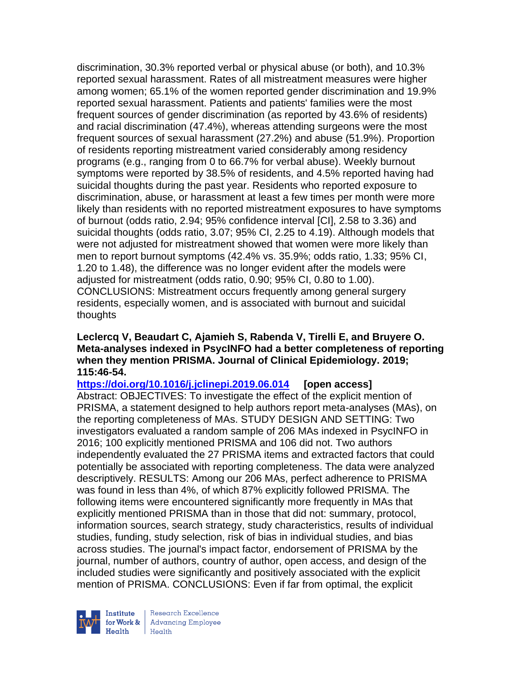discrimination, 30.3% reported verbal or physical abuse (or both), and 10.3% reported sexual harassment. Rates of all mistreatment measures were higher among women; 65.1% of the women reported gender discrimination and 19.9% reported sexual harassment. Patients and patients' families were the most frequent sources of gender discrimination (as reported by 43.6% of residents) and racial discrimination (47.4%), whereas attending surgeons were the most frequent sources of sexual harassment (27.2%) and abuse (51.9%). Proportion of residents reporting mistreatment varied considerably among residency programs (e.g., ranging from 0 to 66.7% for verbal abuse). Weekly burnout symptoms were reported by 38.5% of residents, and 4.5% reported having had suicidal thoughts during the past year. Residents who reported exposure to discrimination, abuse, or harassment at least a few times per month were more likely than residents with no reported mistreatment exposures to have symptoms of burnout (odds ratio, 2.94; 95% confidence interval [CI], 2.58 to 3.36) and suicidal thoughts (odds ratio, 3.07; 95% CI, 2.25 to 4.19). Although models that were not adjusted for mistreatment showed that women were more likely than men to report burnout symptoms (42.4% vs. 35.9%; odds ratio, 1.33; 95% CI, 1.20 to 1.48), the difference was no longer evident after the models were adjusted for mistreatment (odds ratio, 0.90; 95% CI, 0.80 to 1.00). CONCLUSIONS: Mistreatment occurs frequently among general surgery residents, especially women, and is associated with burnout and suicidal thoughts

#### **Leclercq V, Beaudart C, Ajamieh S, Rabenda V, Tirelli E, and Bruyere O. Meta-analyses indexed in PsycINFO had a better completeness of reporting when they mention PRISMA. Journal of Clinical Epidemiology. 2019; 115:46-54.**

**<https://doi.org/10.1016/j.jclinepi.2019.06.014> [open access]** Abstract: OBJECTIVES: To investigate the effect of the explicit mention of PRISMA, a statement designed to help authors report meta-analyses (MAs), on the reporting completeness of MAs. STUDY DESIGN AND SETTING: Two investigators evaluated a random sample of 206 MAs indexed in PsycINFO in 2016; 100 explicitly mentioned PRISMA and 106 did not. Two authors independently evaluated the 27 PRISMA items and extracted factors that could potentially be associated with reporting completeness. The data were analyzed descriptively. RESULTS: Among our 206 MAs, perfect adherence to PRISMA was found in less than 4%, of which 87% explicitly followed PRISMA. The following items were encountered significantly more frequently in MAs that explicitly mentioned PRISMA than in those that did not: summary, protocol, information sources, search strategy, study characteristics, results of individual studies, funding, study selection, risk of bias in individual studies, and bias across studies. The journal's impact factor, endorsement of PRISMA by the journal, number of authors, country of author, open access, and design of the included studies were significantly and positively associated with the explicit mention of PRISMA. CONCLUSIONS: Even if far from optimal, the explicit



Research Excellence **Advancing Employee** Health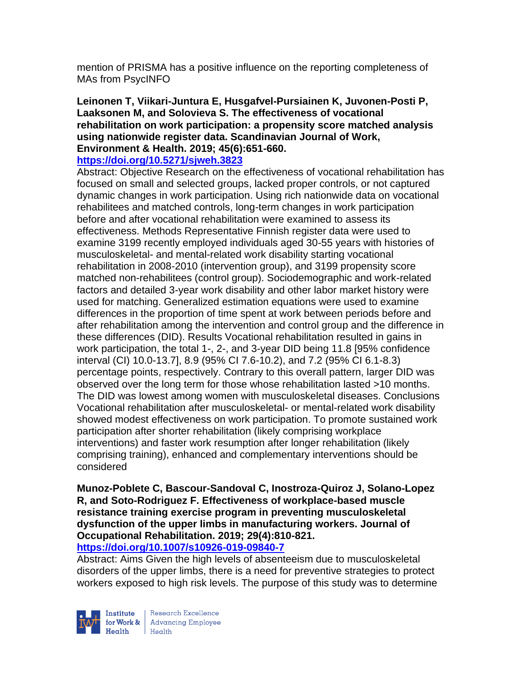mention of PRISMA has a positive influence on the reporting completeness of MAs from PsycINFO

#### **Leinonen T, Viikari-Juntura E, Husgafvel-Pursiainen K, Juvonen-Posti P, Laaksonen M, and Solovieva S. The effectiveness of vocational rehabilitation on work participation: a propensity score matched analysis using nationwide register data. Scandinavian Journal of Work, Environment & Health. 2019; 45(6):651-660.**

#### **<https://doi.org/10.5271/sjweh.3823>**

Abstract: Objective Research on the effectiveness of vocational rehabilitation has focused on small and selected groups, lacked proper controls, or not captured dynamic changes in work participation. Using rich nationwide data on vocational rehabilitees and matched controls, long-term changes in work participation before and after vocational rehabilitation were examined to assess its effectiveness. Methods Representative Finnish register data were used to examine 3199 recently employed individuals aged 30-55 years with histories of musculoskeletal- and mental-related work disability starting vocational rehabilitation in 2008-2010 (intervention group), and 3199 propensity score matched non-rehabilitees (control group). Sociodemographic and work-related factors and detailed 3-year work disability and other labor market history were used for matching. Generalized estimation equations were used to examine differences in the proportion of time spent at work between periods before and after rehabilitation among the intervention and control group and the difference in these differences (DID). Results Vocational rehabilitation resulted in gains in work participation, the total 1-, 2-, and 3-year DID being 11.8 [95% confidence interval (CI) 10.0-13.7], 8.9 (95% CI 7.6-10.2), and 7.2 (95% CI 6.1-8.3) percentage points, respectively. Contrary to this overall pattern, larger DID was observed over the long term for those whose rehabilitation lasted >10 months. The DID was lowest among women with musculoskeletal diseases. Conclusions Vocational rehabilitation after musculoskeletal- or mental-related work disability showed modest effectiveness on work participation. To promote sustained work participation after shorter rehabilitation (likely comprising workplace interventions) and faster work resumption after longer rehabilitation (likely comprising training), enhanced and complementary interventions should be considered

**Munoz-Poblete C, Bascour-Sandoval C, Inostroza-Quiroz J, Solano-Lopez R, and Soto-Rodriguez F. Effectiveness of workplace-based muscle resistance training exercise program in preventing musculoskeletal dysfunction of the upper limbs in manufacturing workers. Journal of Occupational Rehabilitation. 2019; 29(4):810-821. <https://doi.org/10.1007/s10926-019-09840-7>** 

Abstract: Aims Given the high levels of absenteeism due to musculoskeletal disorders of the upper limbs, there is a need for preventive strategies to protect workers exposed to high risk levels. The purpose of this study was to determine



Research Excellence **Institute** Research Excellence<br> **For Work &**<br>
Marth Harlth Harlth  $Heath$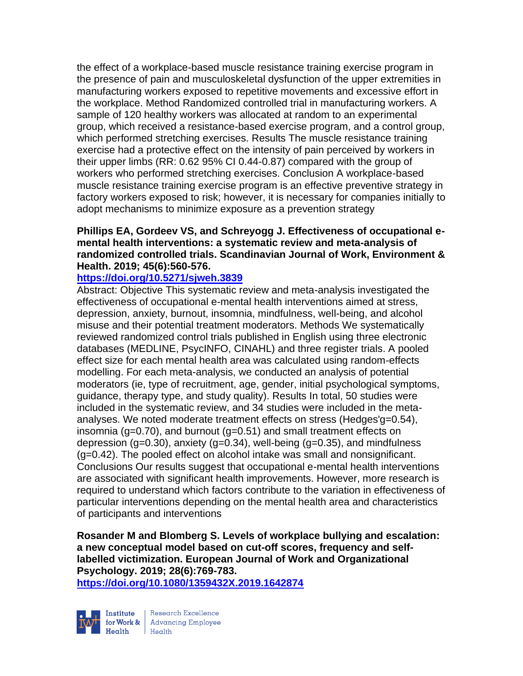the effect of a workplace-based muscle resistance training exercise program in the presence of pain and musculoskeletal dysfunction of the upper extremities in manufacturing workers exposed to repetitive movements and excessive effort in the workplace. Method Randomized controlled trial in manufacturing workers. A sample of 120 healthy workers was allocated at random to an experimental group, which received a resistance-based exercise program, and a control group, which performed stretching exercises. Results The muscle resistance training exercise had a protective effect on the intensity of pain perceived by workers in their upper limbs (RR: 0.62 95% CI 0.44-0.87) compared with the group of workers who performed stretching exercises. Conclusion A workplace-based muscle resistance training exercise program is an effective preventive strategy in factory workers exposed to risk; however, it is necessary for companies initially to adopt mechanisms to minimize exposure as a prevention strategy

### **Phillips EA, Gordeev VS, and Schreyogg J. Effectiveness of occupational emental health interventions: a systematic review and meta-analysis of randomized controlled trials. Scandinavian Journal of Work, Environment & Health. 2019; 45(6):560-576.**

### **<https://doi.org/10.5271/sjweh.3839>**

Abstract: Objective This systematic review and meta-analysis investigated the effectiveness of occupational e-mental health interventions aimed at stress, depression, anxiety, burnout, insomnia, mindfulness, well-being, and alcohol misuse and their potential treatment moderators. Methods We systematically reviewed randomized control trials published in English using three electronic databases (MEDLINE, PsycINFO, CINAHL) and three register trials. A pooled effect size for each mental health area was calculated using random-effects modelling. For each meta-analysis, we conducted an analysis of potential moderators (ie, type of recruitment, age, gender, initial psychological symptoms, guidance, therapy type, and study quality). Results In total, 50 studies were included in the systematic review, and 34 studies were included in the metaanalyses. We noted moderate treatment effects on stress (Hedges'g=0.54), insomnia (g=0.70), and burnout (g=0.51) and small treatment effects on depression (g=0.30), anxiety (g=0.34), well-being (g=0.35), and mindfulness (g=0.42). The pooled effect on alcohol intake was small and nonsignificant. Conclusions Our results suggest that occupational e-mental health interventions are associated with significant health improvements. However, more research is required to understand which factors contribute to the variation in effectiveness of particular interventions depending on the mental health area and characteristics of participants and interventions

**Rosander M and Blomberg S. Levels of workplace bullying and escalation: a new conceptual model based on cut-off scores, frequency and selflabelled victimization. European Journal of Work and Organizational Psychology. 2019; 28(6):769-783.** 

**<https://doi.org/10.1080/1359432X.2019.1642874>** 

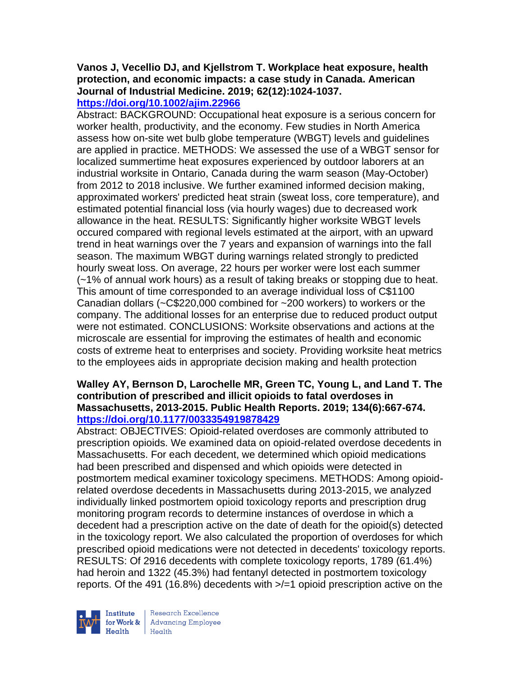# **Vanos J, Vecellio DJ, and Kjellstrom T. Workplace heat exposure, health protection, and economic impacts: a case study in Canada. American Journal of Industrial Medicine. 2019; 62(12):1024-1037.**

**<https://doi.org/10.1002/ajim.22966>** 

Abstract: BACKGROUND: Occupational heat exposure is a serious concern for worker health, productivity, and the economy. Few studies in North America assess how on-site wet bulb globe temperature (WBGT) levels and guidelines are applied in practice. METHODS: We assessed the use of a WBGT sensor for localized summertime heat exposures experienced by outdoor laborers at an industrial worksite in Ontario, Canada during the warm season (May-October) from 2012 to 2018 inclusive. We further examined informed decision making, approximated workers' predicted heat strain (sweat loss, core temperature), and estimated potential financial loss (via hourly wages) due to decreased work allowance in the heat. RESULTS: Significantly higher worksite WBGT levels occured compared with regional levels estimated at the airport, with an upward trend in heat warnings over the 7 years and expansion of warnings into the fall season. The maximum WBGT during warnings related strongly to predicted hourly sweat loss. On average, 22 hours per worker were lost each summer (~1% of annual work hours) as a result of taking breaks or stopping due to heat. This amount of time corresponded to an average individual loss of C\$1100 Canadian dollars (~C\$220,000 combined for ~200 workers) to workers or the company. The additional losses for an enterprise due to reduced product output were not estimated. CONCLUSIONS: Worksite observations and actions at the microscale are essential for improving the estimates of health and economic costs of extreme heat to enterprises and society. Providing worksite heat metrics to the employees aids in appropriate decision making and health protection

#### **Walley AY, Bernson D, Larochelle MR, Green TC, Young L, and Land T. The contribution of prescribed and illicit opioids to fatal overdoses in Massachusetts, 2013-2015. Public Health Reports. 2019; 134(6):667-674. <https://doi.org/10.1177/0033354919878429>**

Abstract: OBJECTIVES: Opioid-related overdoses are commonly attributed to prescription opioids. We examined data on opioid-related overdose decedents in Massachusetts. For each decedent, we determined which opioid medications had been prescribed and dispensed and which opioids were detected in postmortem medical examiner toxicology specimens. METHODS: Among opioidrelated overdose decedents in Massachusetts during 2013-2015, we analyzed individually linked postmortem opioid toxicology reports and prescription drug monitoring program records to determine instances of overdose in which a decedent had a prescription active on the date of death for the opioid(s) detected in the toxicology report. We also calculated the proportion of overdoses for which prescribed opioid medications were not detected in decedents' toxicology reports. RESULTS: Of 2916 decedents with complete toxicology reports, 1789 (61.4%) had heroin and 1322 (45.3%) had fentanyl detected in postmortem toxicology reports. Of the 491 (16.8%) decedents with >/=1 opioid prescription active on the